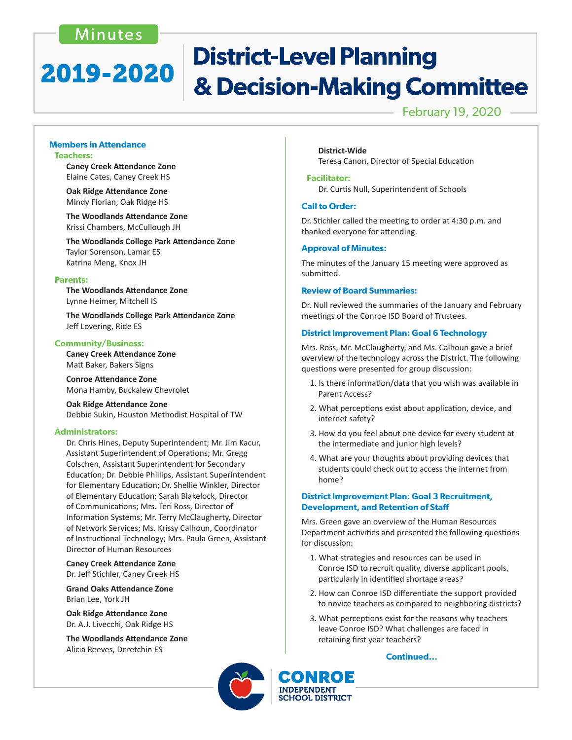# Minutes

# **District-Level Planning** 2019-2020 & Decision-Making Committee

February 19, 2020

#### **Members in Attendance Teachers:**

 **Caney Creek Attendance Zone** Elaine Cates, Caney Creek HS

 **Oak Ridge Attendance Zone** Mindy Florian, Oak Ridge HS

 **The Woodlands Attendance Zone** Krissi Chambers, McCullough JH

 **The Woodlands College Park Attendance Zone** Taylor Sorenson, Lamar ES Katrina Meng, Knox JH

#### **Parents:**

 **The Woodlands Attendance Zone** Lynne Heimer, Mitchell IS

 **The Woodlands College Park Attendance Zone** Jeff Lovering, Ride ES

#### **Community/Business:**

 **Caney Creek Attendance Zone** Matt Baker, Bakers Signs

 **Conroe Attendance Zone** Mona Hamby, Buckalew Chevrolet

 **Oak Ridge Attendance Zone** Debbie Sukin, Houston Methodist Hospital of TW

#### **Administrators:**

Dr. Chris Hines, Deputy Superintendent; Mr. Jim Kacur, Assistant Superintendent of Operations; Mr. Gregg Colschen, Assistant Superintendent for Secondary Education; Dr. Debbie Phillips, Assistant Superintendent for Elementary Education; Dr. Shellie Winkler, Director of Elementary Education; Sarah Blakelock, Director of Communications; Mrs. Teri Ross, Director of Information Systems; Mr. Terry McClaugherty, Director of Network Services; Ms. Krissy Calhoun, Coordinator of Instructional Technology; Mrs. Paula Green, Assistant Director of Human Resources

 **Caney Creek Attendance Zone**  Dr. Jeff Stichler, Caney Creek HS

 **Grand Oaks Attendance Zone** Brian Lee, York JH

**Oak Ridge Attendance Zone**  Dr. A.J. Livecchi, Oak Ridge HS

**The Woodlands Attendance Zone**  Alicia Reeves, Deretchin ES

**District-Wide**  Teresa Canon, Director of Special Education

#### **Facilitator:**

 Dr. Curtis Null, Superintendent of Schools

#### **Call to Order:**

Dr. Stichler called the meeting to order at 4:30 p.m. and thanked everyone for attending.

#### **Approval of Minutes:**

The minutes of the January 15 meeting were approved as submitted.

#### **Review of Board Summaries:**

Dr. Null reviewed the summaries of the January and February meetings of the Conroe ISD Board of Trustees.

#### **District Improvement Plan: Goal 6 Technology**

Mrs. Ross, Mr. McClaugherty, and Ms. Calhoun gave a brief overview of the technology across the District. The following questions were presented for group discussion:

- 1. Is there information/data that you wish was available in Parent Access?
- 2. What perceptions exist about application, device, and internet safety?
- 3. How do you feel about one device for every student at the intermediate and junior high levels?
- 4. What are your thoughts about providing devices that students could check out to access the internet from home?

## **District Improvement Plan: Goal 3 Recruitment, Development, and Retention of Staff**

Mrs. Green gave an overview of the Human Resources Department activities and presented the following questions for discussion:

- 1. What strategies and resources can be used in Conroe ISD to recruit quality, diverse applicant pools, particularly in identified shortage areas?
- 2. How can Conroe ISD differentiate the support provided to novice teachers as compared to neighboring districts?
- 3. What perceptions exist for the reasons why teachers leave Conroe ISD? What challenges are faced in retaining first year teachers?

#### **Continued...**



**INDEPENDENT SCHOOL DISTRICT**